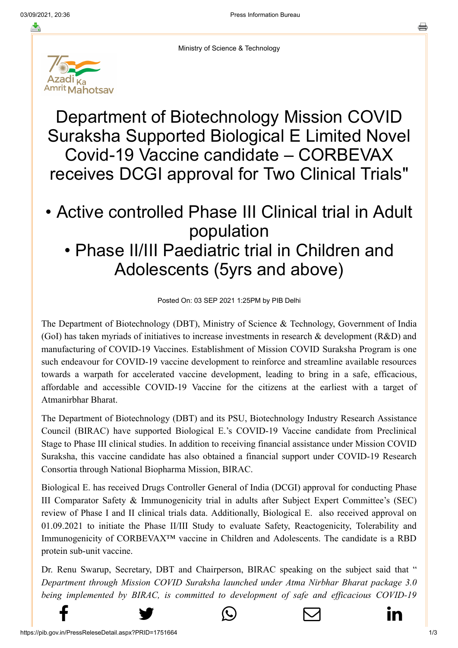

Ministry of Science & Technology

Department of Biotechnology Mission COVID Suraksha Supported Biological E Limited Novel Covid-19 Vaccine candidate – CORBEVAX receives DCGI approval for Two Clinical Trials"

## • Active controlled Phase III Clinical trial in Adult population • Phase II/III Paediatric trial in Children and Adolescents (5yrs and above)

Posted On: 03 SEP 2021 1:25PM by PIB Delhi

The Department of Biotechnology (DBT), Ministry of Science & Technology, Government of India (GoI) has taken myriads of initiatives to increase investments in research & development (R&D) and manufacturing of COVID-19 Vaccines. Establishment of Mission COVID Suraksha Program is one such endeavour for COVID-19 vaccine development to reinforce and streamline available resources towards a warpath for accelerated vaccine development, leading to bring in a safe, efficacious, affordable and accessible COVID-19 Vaccine for the citizens at the earliest with a target of Atmanirbhar Bharat.

The Department of Biotechnology (DBT) and its PSU, Biotechnology Industry Research Assistance Council (BIRAC) have supported Biological E.'s COVID-19 Vaccine candidate from Preclinical Stage to Phase III clinical studies. In addition to receiving financial assistance under Mission COVID Suraksha, this vaccine candidate has also obtained a financial support under COVID-19 Research Consortia through National Biopharma Mission, BIRAC.

Biological E. has received Drugs Controller General of India (DCGI) approval for conducting Phase III Comparator Safety & Immunogenicity trial in adults after Subject Expert Committee's (SEC) review of Phase I and II clinical trials data. Additionally, Biological E. also received approval on 01.09.2021 to initiate the Phase II/III Study to evaluate Safety, Reactogenicity, Tolerability and Immunogenicity of CORBEVAX™ vaccine in Children and Adolescents. The candidate is a RBD protein sub-unit vaccine.

Dr. Renu Swarup, Secretary, DBT and Chairperson, BIRAC speaking on the subject said that " *Department through Mission COVID Suraksha launched under Atma Nirbhar Bharat package 3.0 [being implement](http://www.facebook.com/share.php?u=https://pib.gov.in/PressReleasePage.aspx?PRID=1751664)ed by BIRAC, is committed to development of safe and efficacious COVID-19*

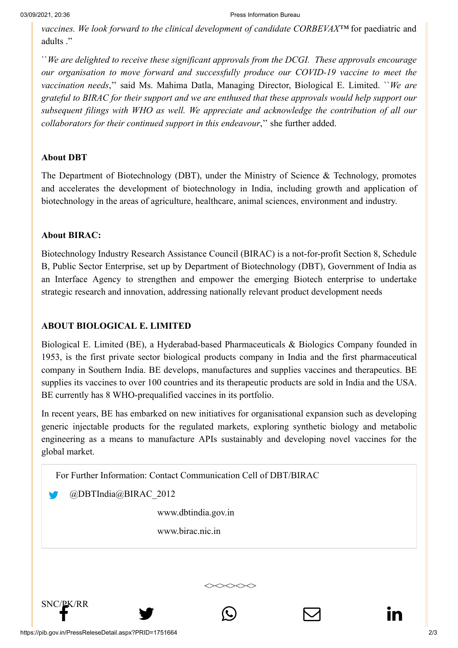*[vaccines. We loo](http://www.facebook.com/share.php?u=https://pib.gov.in/PressReleasePage.aspx?PRID=1751664)[k forward to](https://twitter.com/intent/tweet?url=https://pib.gov.in/PressReleasePage.aspx?PRID=1751664&text=Department%20of%20Biotechnology%20Mission%20COVID%20Suraksha%20Supported%20Biological%20E%20Limited%20Novel%20Covid-19%20Vaccine%20candidate%20%E2%80%93%20CORBEVAX%20receives%20DCGI%20approval%20for%20Two%20Clinical%20Trials%22) the clinic[al development of cand](https://api.whatsapp.com/send?text=https://pib.gov.in/PressReleasePage.aspx?PRID=1751664)[idate CORBEVAX™](https://mail.google.com/mail/?view=cm&fs=1&tf=1&to=&su=Department%20of%20Biotechnology%20Mission%20COVID%20Suraksha%20Supported%20Biological%20E%20Limited%20Novel%20Covid-19%20Vaccine%20candidate%20%E2%80%93%20CORBEVAX%20receives%20DCGI%20approval%20for%20Two%20Clinical%20Trials%22&body=https://pib.gov.in/PressReleasePage.aspx?PRID=1751664&ui=2&tf=1&pli=1)* [for paediatric and](https://www.linkedin.com/shareArticle?mini=true&url=https://pib.gov.in/PressReleasePage.aspx?PRID=1751664&title=Department%20of%20Biotechnology%20Mission%20COVID%20Suraksha%20Supported%20Biological%20E%20Limited%20Novel%20Covid-19%20Vaccine%20candidate%20%E2%80%93%20CORBEVAX%20receives%20DCGI%20approval%20for%20Two%20Clinical%20Trials%22&summary=My%20favorite%20developer%20program&source=LinkedIn) adults ."

``*We are delighted to receive these significant approvals from the DCGI. These approvals encourage our organisation to move forward and successfully produce our COVID-19 vaccine to meet the vaccination needs*,'' said Ms. Mahima Datla, Managing Director, Biological E. Limited. ``*We are grateful to BIRAC for their support and we are enthused that these approvals would help support our subsequent filings with WHO as well. We appreciate and acknowledge the contribution of all our collaborators for their continued support in this endeavour*,'' she further added.

## **About DBT**

The Department of Biotechnology (DBT), under the Ministry of Science & Technology, promotes and accelerates the development of biotechnology in India, including growth and application of biotechnology in the areas of agriculture, healthcare, animal sciences, environment and industry.

## **About BIRAC:**

Biotechnology Industry Research Assistance Council (BIRAC) is a not-for-profit Section 8, Schedule B, Public Sector Enterprise, set up by Department of Biotechnology (DBT), Government of India as an Interface Agency to strengthen and empower the emerging Biotech enterprise to undertake strategic research and innovation, addressing nationally relevant product development needs

## **ABOUT BIOLOGICAL E. LIMITED**

Biological E. Limited (BE), a Hyderabad-based Pharmaceuticals & Biologics Company founded in 1953, is the first private sector biological products company in India and the first pharmaceutical company in Southern India. BE develops, manufactures and supplies vaccines and therapeutics. BE supplies its vaccines to over 100 countries and its therapeutic products are sold in India and the USA. BE currently has 8 WHO-prequalified vaccines in its portfolio.

In recent years, BE has embarked on new initiatives for organisational expansion such as developing generic injectable products for the regulated markets, exploring synthetic biology and metabolic engineering as a means to manufacture APIs sustainably and developing novel vaccines for the global market.

<><><><><>

For Further Information: Contact Communication Cell of DBT/BIRAC

@DBTIndia@BIRAC\_2012

[www.dbtindia.gov.in](http://www.dbtindia.gov.in/)

[www.birac.nic.in](http://www.birac.nic.in/)

 $\mathbb{S}^{\text{NCC/PK/RR}}$  snc $\mathbb{S}^{\text{C}}$  in